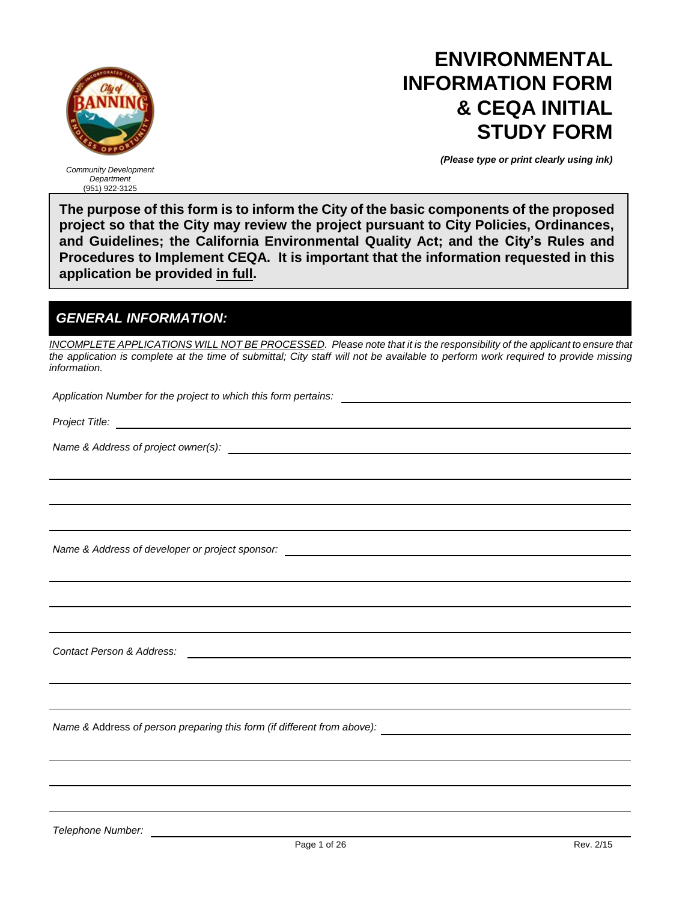

*Community Development Department* (951) 922-3125

# **ENVIRONMENTAL INFORMATION FORM & CEQA INITIAL STUDY FORM**

*(Please type or print clearly using ink)*

**The purpose of this form is to inform the City of the basic components of the proposed project so that the City may review the project pursuant to City Policies, Ordinances, and Guidelines; the California Environmental Quality Act; and the City's Rules and Procedures to Implement CEQA. It is important that the information requested in this application be provided in full.**

# *GENERAL INFORMATION:*

*INCOMPLETE APPLICATIONS WILL NOT BE PROCESSED. Please note that it is the responsibility of the applicant to ensure that the application is complete at the time of submittal; City staff will not be available to perform work required to provide missing information.* 

*Application Number for the project to which this form pertains:*

*Project Title:*

*Name & Address of project owner(s):*

*Name & Address of developer or project sponsor:*

*Contact Person & Address:*

*Name &* Address *of person preparing this form (if different from above):*

*Telephone Number:*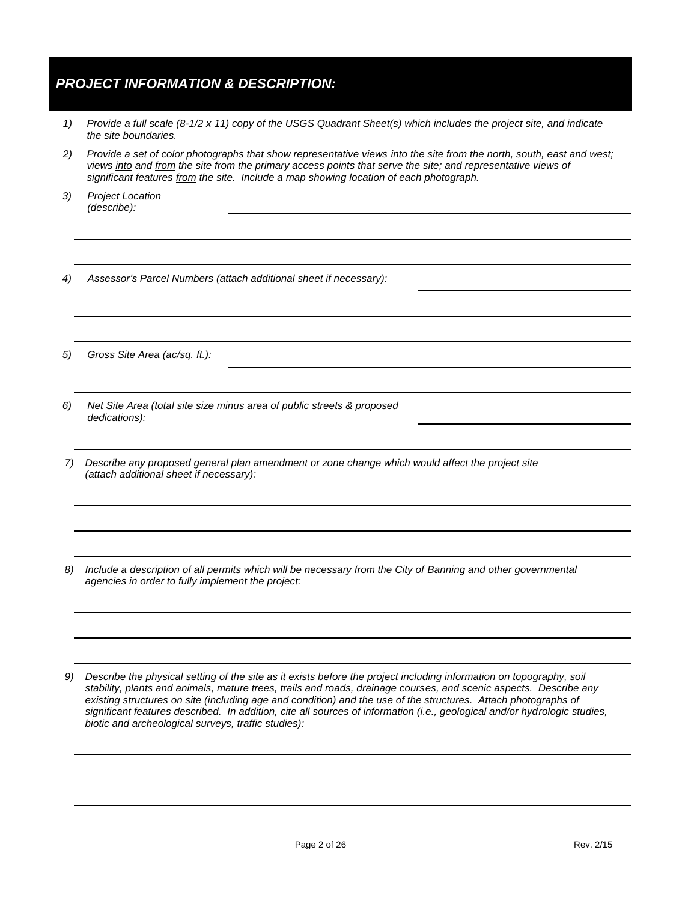# *PROJECT INFORMATION & DESCRIPTION:*

- *1) Provide a full scale (8-1/2 x 11) copy of the USGS Quadrant Sheet(s) which includes the project site, and indicate the site boundaries.*
- *2) Provide a set of color photographs that show representative views into the site from the north, south, east and west; views into and from the site from the primary access points that serve the site; and representative views of significant features from the site. Include a map showing location of each photograph.*
- *3) Project Location (describe):*

*4) Assessor's Parcel Numbers (attach additional sheet if necessary):*

*5) Gross Site Area (ac/sq. ft.):*

- *6) Net Site Area (total site size minus area of public streets & proposed dedications):*
- *7) Describe any proposed general plan amendment or zone change which would affect the project site (attach additional sheet if necessary):*
- *8) Include a description of all permits which will be necessary from the City of Banning and other governmental agencies in order to fully implement the project:*

*9) Describe the physical setting of the site as it exists before the project including information on topography, soil stability, plants and animals, mature trees, trails and roads, drainage courses, and scenic aspects. Describe any existing structures on site (including age and condition) and the use of the structures. Attach photographs of significant features described. In addition, cite all sources of information (i.e., geological and/or hydrologic studies, biotic and archeological surveys, traffic studies):*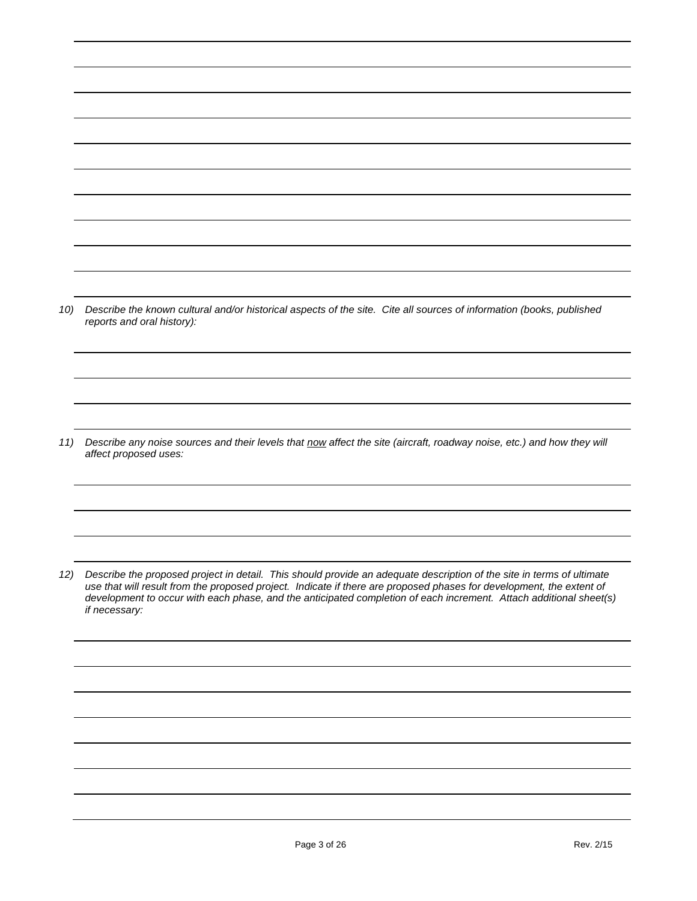*10) Describe the known cultural and/or historical aspects of the site. Cite all sources of information (books, published reports and oral history):*

*11) Describe any noise sources and their levels that now affect the site (aircraft, roadway noise, etc.) and how they will affect proposed uses:*

*12) Describe the proposed project in detail. This should provide an adequate description of the site in terms of ultimate use that will result from the proposed project. Indicate if there are proposed phases for development, the extent of development to occur with each phase, and the anticipated completion of each increment. Attach additional sheet(s) if necessary:*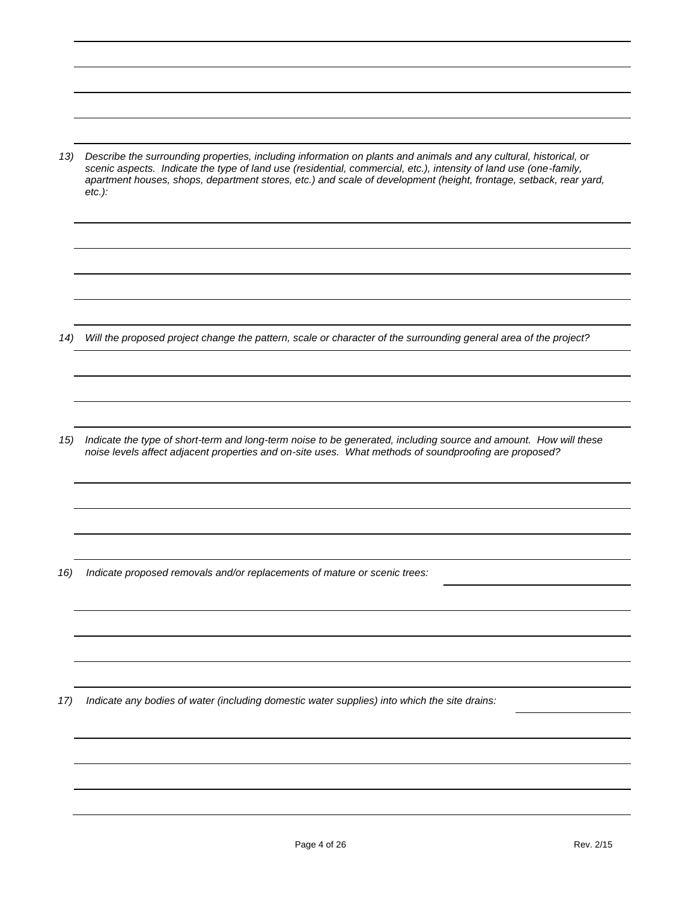*13) Describe the surrounding properties, including information on plants and animals and any cultural, historical, or scenic aspects. Indicate the type of land use (residential, commercial, etc.), intensity of land use (one-family, apartment houses, shops, department stores, etc.) and scale of development (height, frontage, setback, rear yard, etc.):*

*14) Will the proposed project change the pattern, scale or character of the surrounding general area of the project?*

*15) Indicate the type of short-term and long-term noise to be generated, including source and amount. How will these noise levels affect adjacent properties and on-site uses. What methods of soundproofing are proposed?*

*16) Indicate proposed removals and/or replacements of mature or scenic trees:*

*17) Indicate any bodies of water (including domestic water supplies) into which the site drains:*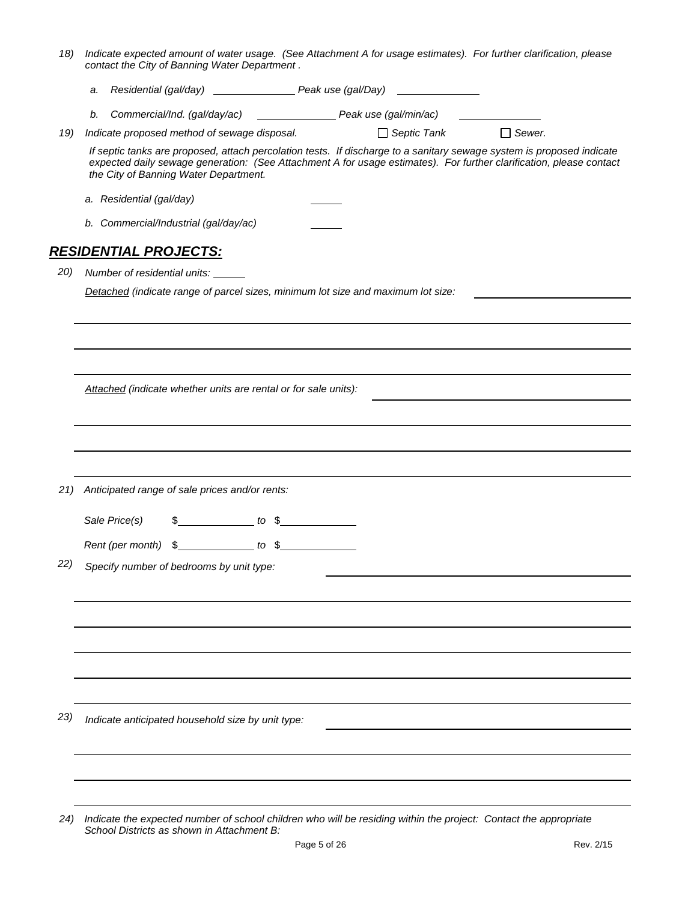| 18) | Indicate expected amount of water usage. (See Attachment A for usage estimates). For further clarification, please<br>contact the City of Banning Water Department.                                                                                                                   |                                                                 |  |                                                                                  |               |  |  |
|-----|---------------------------------------------------------------------------------------------------------------------------------------------------------------------------------------------------------------------------------------------------------------------------------------|-----------------------------------------------------------------|--|----------------------------------------------------------------------------------|---------------|--|--|
|     | a.                                                                                                                                                                                                                                                                                    |                                                                 |  |                                                                                  |               |  |  |
|     | b.                                                                                                                                                                                                                                                                                    |                                                                 |  | Commercial/Ind. (gal/day/ac) _______________________ Peak use (gal/min/ac)       |               |  |  |
| 19) |                                                                                                                                                                                                                                                                                       | Indicate proposed method of sewage disposal.                    |  | $\Box$ Septic Tank                                                               | $\Box$ Sewer. |  |  |
|     | If septic tanks are proposed, attach percolation tests. If discharge to a sanitary sewage system is proposed indicate<br>expected daily sewage generation: (See Attachment A for usage estimates). For further clarification, please contact<br>the City of Banning Water Department. |                                                                 |  |                                                                                  |               |  |  |
|     | a. Residential (gal/day)                                                                                                                                                                                                                                                              |                                                                 |  |                                                                                  |               |  |  |
|     |                                                                                                                                                                                                                                                                                       | b. Commercial/Industrial (gal/day/ac)                           |  |                                                                                  |               |  |  |
|     | <u>RESIDENTIAL PROJECTS:</u>                                                                                                                                                                                                                                                          |                                                                 |  |                                                                                  |               |  |  |
| 20) | Number of residential units:                                                                                                                                                                                                                                                          |                                                                 |  |                                                                                  |               |  |  |
|     |                                                                                                                                                                                                                                                                                       |                                                                 |  | Detached (indicate range of parcel sizes, minimum lot size and maximum lot size: |               |  |  |
|     |                                                                                                                                                                                                                                                                                       |                                                                 |  |                                                                                  |               |  |  |
|     |                                                                                                                                                                                                                                                                                       |                                                                 |  |                                                                                  |               |  |  |
|     |                                                                                                                                                                                                                                                                                       |                                                                 |  |                                                                                  |               |  |  |
|     |                                                                                                                                                                                                                                                                                       | Attached (indicate whether units are rental or for sale units): |  |                                                                                  |               |  |  |
|     |                                                                                                                                                                                                                                                                                       |                                                                 |  |                                                                                  |               |  |  |
|     |                                                                                                                                                                                                                                                                                       |                                                                 |  |                                                                                  |               |  |  |
|     |                                                                                                                                                                                                                                                                                       |                                                                 |  |                                                                                  |               |  |  |
|     |                                                                                                                                                                                                                                                                                       |                                                                 |  |                                                                                  |               |  |  |
| 21) |                                                                                                                                                                                                                                                                                       | Anticipated range of sale prices and/or rents:                  |  |                                                                                  |               |  |  |
|     | Sale Price(s)                                                                                                                                                                                                                                                                         | $\frac{1}{2}$ to $\frac{1}{2}$ to $\frac{1}{2}$                 |  |                                                                                  |               |  |  |
|     |                                                                                                                                                                                                                                                                                       |                                                                 |  |                                                                                  |               |  |  |
| 22) |                                                                                                                                                                                                                                                                                       | Specify number of bedrooms by unit type:                        |  |                                                                                  |               |  |  |
|     |                                                                                                                                                                                                                                                                                       |                                                                 |  |                                                                                  |               |  |  |
|     |                                                                                                                                                                                                                                                                                       |                                                                 |  |                                                                                  |               |  |  |
|     |                                                                                                                                                                                                                                                                                       |                                                                 |  |                                                                                  |               |  |  |
|     |                                                                                                                                                                                                                                                                                       |                                                                 |  |                                                                                  |               |  |  |
|     |                                                                                                                                                                                                                                                                                       |                                                                 |  |                                                                                  |               |  |  |
| 23) |                                                                                                                                                                                                                                                                                       |                                                                 |  |                                                                                  |               |  |  |
|     |                                                                                                                                                                                                                                                                                       | Indicate anticipated household size by unit type:               |  |                                                                                  |               |  |  |
|     |                                                                                                                                                                                                                                                                                       |                                                                 |  |                                                                                  |               |  |  |
|     |                                                                                                                                                                                                                                                                                       |                                                                 |  |                                                                                  |               |  |  |
|     |                                                                                                                                                                                                                                                                                       |                                                                 |  |                                                                                  |               |  |  |

*<sup>24)</sup> Indicate the expected number of school children who will be residing within the project: Contact the appropriate School Districts as shown in Attachment B:*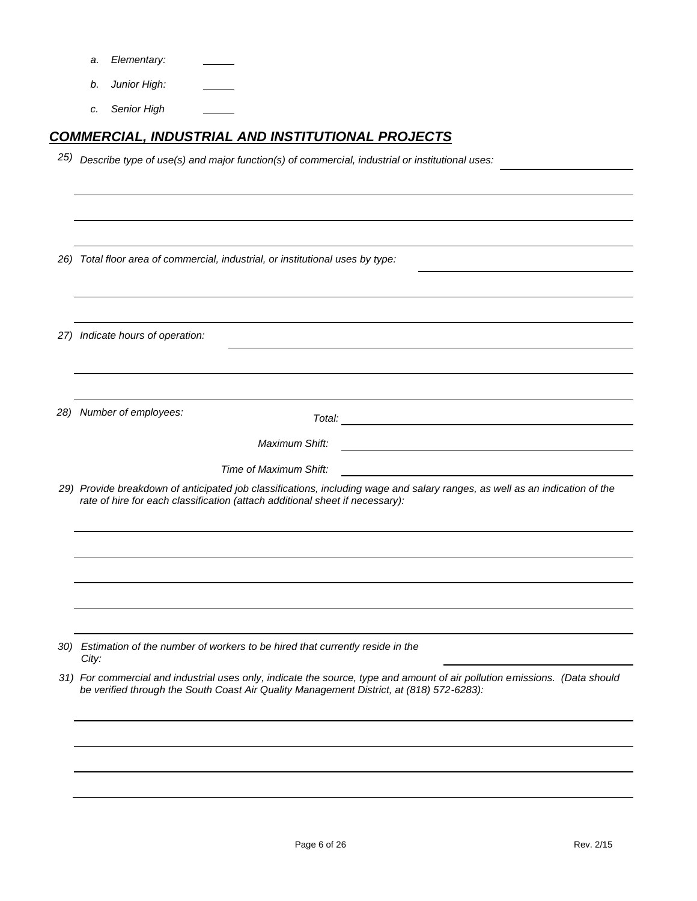- *a. Elementary:*
- *b. Junior High:*
- *c. Senior High*

# *COMMERCIAL, INDUSTRIAL AND INSTITUTIONAL PROJECTS*

*25) Describe type of use(s) and major function(s) of commercial, industrial or institutional uses:*

*26) Total floor area of commercial, industrial, or institutional uses by type:*

*27) Indicate hours of operation:*

*28) Number of employees: Total:*

*Maximum Shift:*

*Time of Maximum Shift:*

*29) Provide breakdown of anticipated job classifications, including wage and salary ranges, as well as an indication of the rate of hire for each classification (attach additional sheet if necessary):*

*30) Estimation of the number of workers to be hired that currently reside in the City:*

*31) For commercial and industrial uses only, indicate the source, type and amount of air pollution emissions. (Data should be verified through the South Coast Air Quality Management District, at (818) 572-6283):*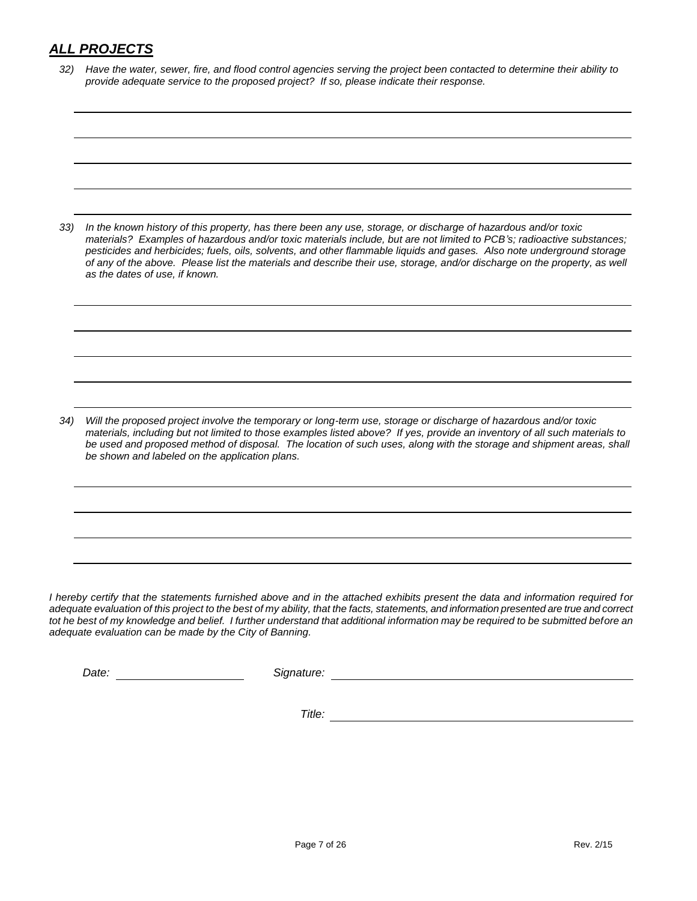# *ALL PROJECTS*

*32) Have the water, sewer, fire, and flood control agencies serving the project been contacted to determine their ability to provide adequate service to the proposed project? If so, please indicate their response.*

*33) In the known history of this property, has there been any use, storage, or discharge of hazardous and/or toxic materials? Examples of hazardous and/or toxic materials include, but are not limited to PCB's; radioactive substances; pesticides and herbicides; fuels, oils, solvents, and other flammable liquids and gases. Also note underground storage of any of the above. Please list the materials and describe their use, storage, and/or discharge on the property, as well as the dates of use, if known.*

*34) Will the proposed project involve the temporary or long-term use, storage or discharge of hazardous and/or toxic materials, including but not limited to those examples listed above? If yes, provide an inventory of all such materials to be used and proposed method of disposal. The location of such uses, along with the storage and shipment areas, shall be shown and labeled on the application plans.*

*I hereby certify that the statements furnished above and in the attached exhibits present the data and information required for adequate evaluation of this project to the best of my ability, that the facts, statements, and information presented are true and correct*  tot he best of my knowledge and belief. I further understand that additional information may be required to be submitted before an *adequate evaluation can be made by the City of Banning.* 

*Date: Signature:*

*Title:*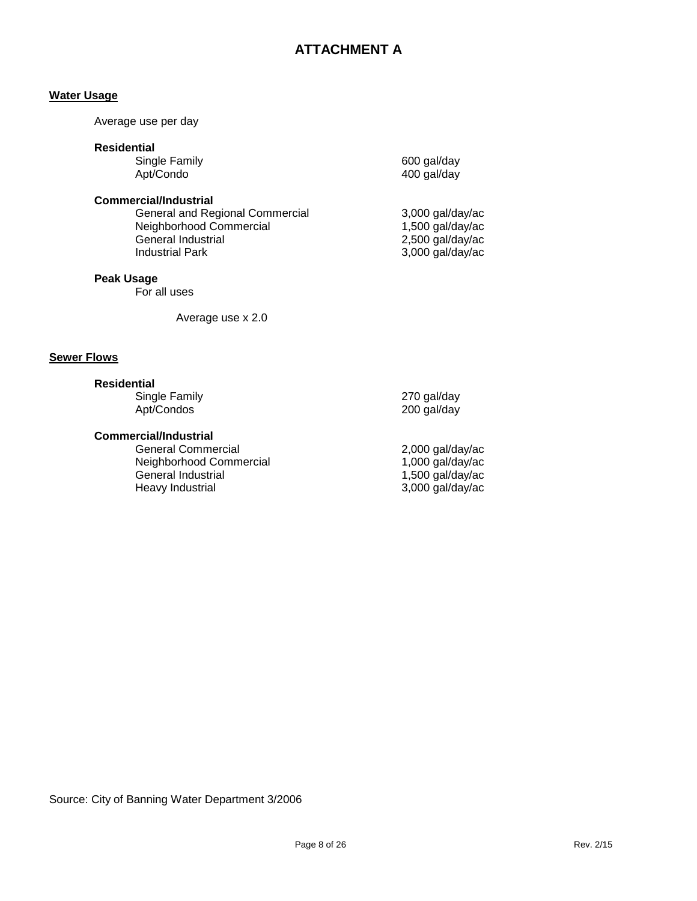#### **Water Usage**

Average use per day

#### **Residential**

| Single Family | 600 gal/day |
|---------------|-------------|
| Apt/Condo     | 400 gal/day |
|               |             |

| Commercial/Industrial                  |      |
|----------------------------------------|------|
| <b>General and Regional Commercial</b> | 3.00 |
| Neighborhood Commercial                | 1.50 |
| General Industrial                     | 2.50 |
| <b>Industrial Park</b>                 | 3.00 |

#### **Peak Usage**

For all uses

Average use x 2.0

### **Sewer Flows**

#### **Residential**

Single Family 270 gal/day<br>Apt/Condos 200 gal/day

#### **Commercial/Industrial**

General Commercial 2,000 gal/day/ac<br>
Neighborhood Commercial 1,000 gal/day/ac<br>
1,000 gal/day/ac Neighborhood Commercial General Industrial 1,500 gal/day/ac<br>
Heavy Industrial 1,500 gal/day/ac<br>
1,500 gal/day/ac<br>
3,000 gal/day/ac

00 gal/day/ac 00 gal/day/ac  $00$  gal/day/ac .<br>00 gal/day/ac

200 gal/day

 $3,000$  gal/day/ac

Source: City of Banning Water Department 3/2006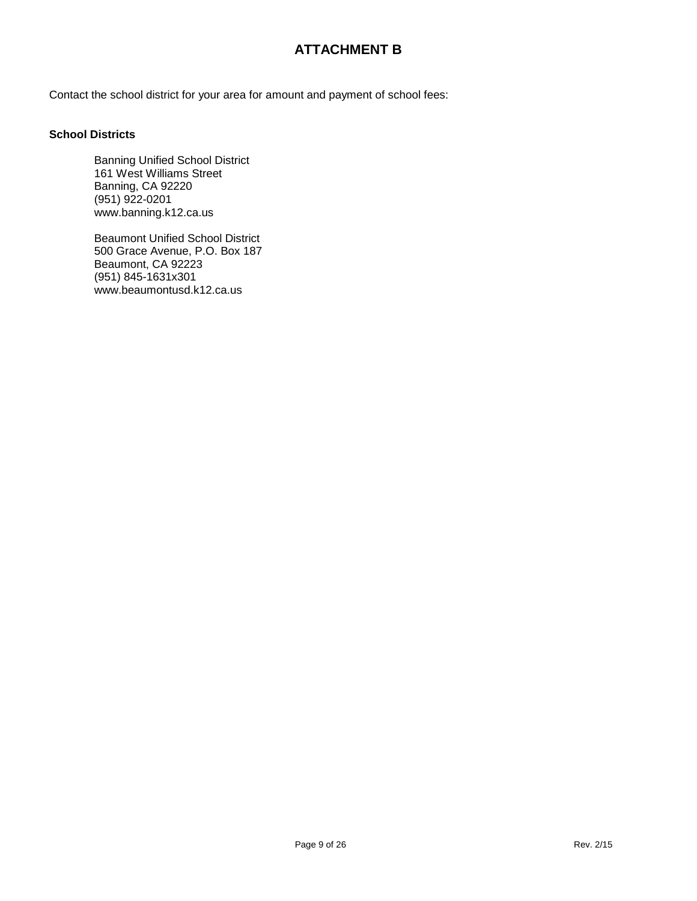# **ATTACHMENT B**

Contact the school district for your area for amount and payment of school fees:

### **School Districts**

Banning Unified School District 161 West Williams Street Banning, CA 92220 (951) 922-0201 www.banning.k12.ca.us

Beaumont Unified School District 500 Grace Avenue, P.O. Box 187 Beaumont, CA 92223 (951) 845-1631x301 www.beaumontusd.k12.ca.us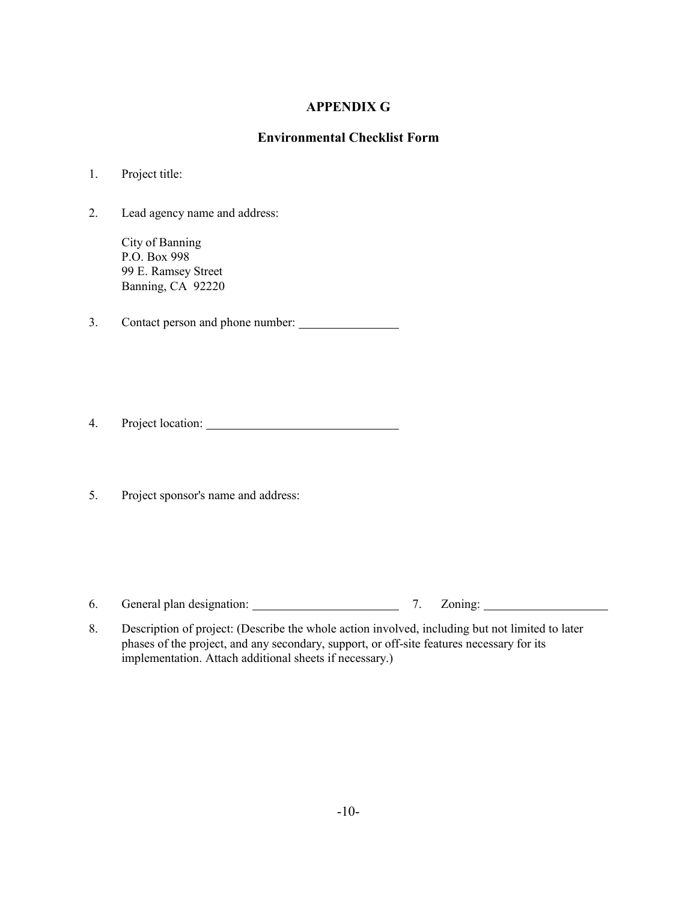# **APPENDIX G**

### **Environmental Checklist Form**

- 1. Project title:
- 2. Lead agency name and address:

City of Banning P.O. Box 998 99 E. Ramsey Street Banning, CA 92220

- 3. Contact person and phone number:
- 4. Project location:
- 5. Project sponsor's name and address:

- 6. General plan designation: 7. Zoning:
- 8. Description of project: (Describe the whole action involved, including but not limited to later phases of the project, and any secondary, support, or off-site features necessary for its implementation. Attach additional sheets if necessary.)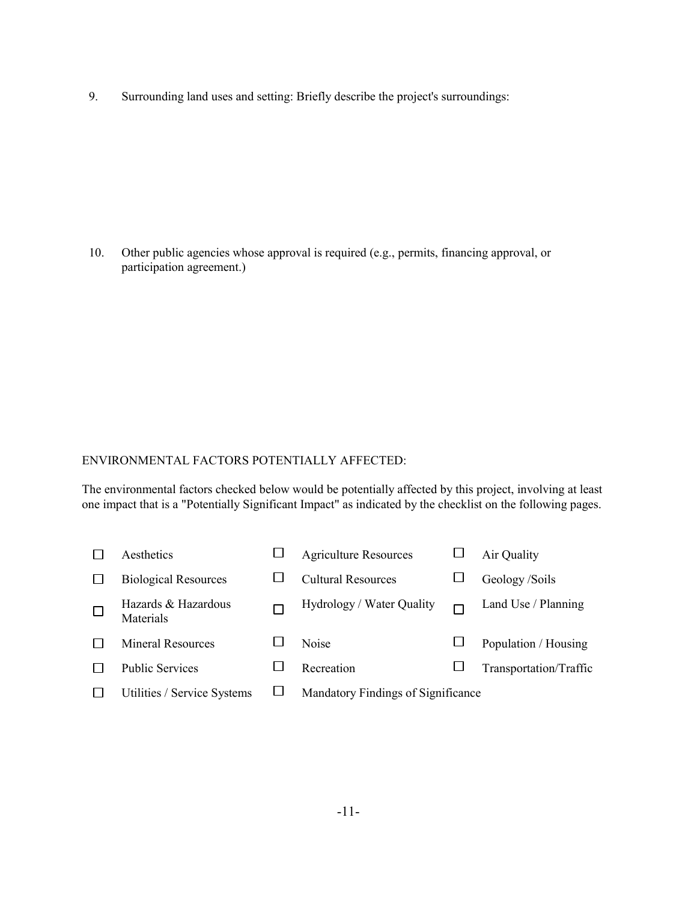9. Surrounding land uses and setting: Briefly describe the project's surroundings:

10. Other public agencies whose approval is required (e.g., permits, financing approval, or participation agreement.)

### ENVIRONMENTAL FACTORS POTENTIALLY AFFECTED:

The environmental factors checked below would be potentially affected by this project, involving at least one impact that is a "Potentially Significant Impact" as indicated by the checklist on the following pages.

|        | Aesthetics                       | <b>Agriculture Resources</b>       | Air Quality            |
|--------|----------------------------------|------------------------------------|------------------------|
|        | <b>Biological Resources</b>      | <b>Cultural Resources</b>          | Geology /Soils         |
| $\Box$ | Hazards & Hazardous<br>Materials | Hydrology / Water Quality          | Land Use / Planning    |
|        | <b>Mineral Resources</b>         | <b>Noise</b>                       | Population / Housing   |
|        | <b>Public Services</b>           | Recreation                         | Transportation/Traffic |
|        | Utilities / Service Systems      | Mandatory Findings of Significance |                        |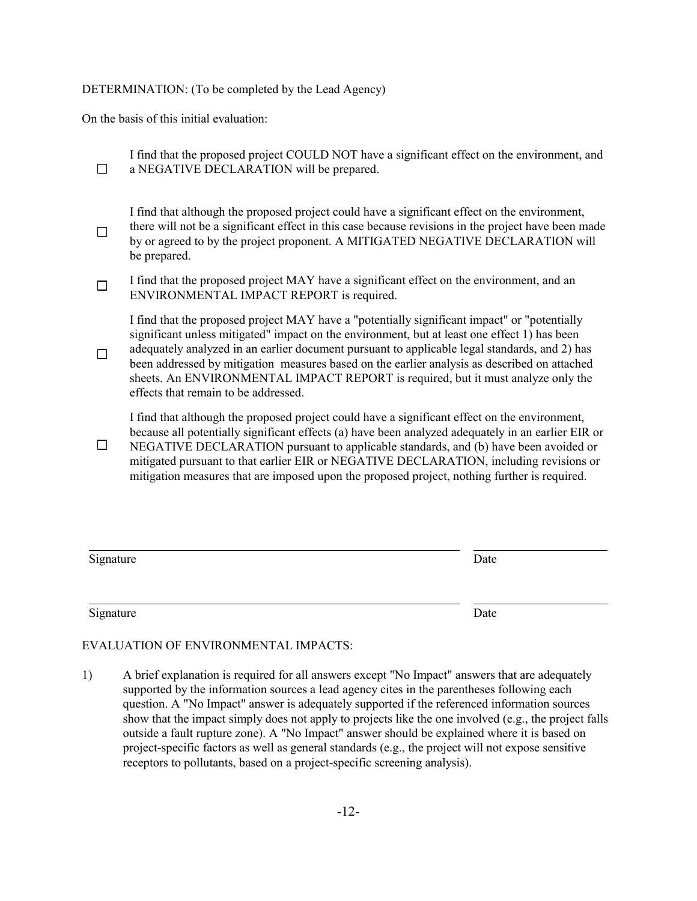DETERMINATION: (To be completed by the Lead Agency)

On the basis of this initial evaluation:

I find that the proposed project COULD NOT have a significant effect on the environment, and  $\Box$ a NEGATIVE DECLARATION will be prepared.

I find that although the proposed project could have a significant effect on the environment, there will not be a significant effect in this case because revisions in the project have been made  $\Box$ by or agreed to by the project proponent. A MITIGATED NEGATIVE DECLARATION will be prepared.

I find that the proposed project MAY have a significant effect on the environment, and an  $\Box$ ENVIRONMENTAL IMPACT REPORT is required.

I find that the proposed project MAY have a "potentially significant impact" or "potentially significant unless mitigated" impact on the environment, but at least one effect 1) has been adequately analyzed in an earlier document pursuant to applicable legal standards, and 2) has  $\Box$ been addressed by mitigation measures based on the earlier analysis as described on attached sheets. An ENVIRONMENTAL IMPACT REPORT is required, but it must analyze only the effects that remain to be addressed.

I find that although the proposed project could have a significant effect on the environment, because all potentially significant effects (a) have been analyzed adequately in an earlier EIR or  $\Box$ NEGATIVE DECLARATION pursuant to applicable standards, and (b) have been avoided or mitigated pursuant to that earlier EIR or NEGATIVE DECLARATION, including revisions or mitigation measures that are imposed upon the proposed project, nothing further is required.

| Signature | Date |  |
|-----------|------|--|
|           |      |  |
| Signature | Date |  |

### EVALUATION OF ENVIRONMENTAL IMPACTS:

1) A brief explanation is required for all answers except "No Impact" answers that are adequately supported by the information sources a lead agency cites in the parentheses following each question. A "No Impact" answer is adequately supported if the referenced information sources show that the impact simply does not apply to projects like the one involved (e.g., the project falls outside a fault rupture zone). A "No Impact" answer should be explained where it is based on project-specific factors as well as general standards (e.g., the project will not expose sensitive receptors to pollutants, based on a project-specific screening analysis).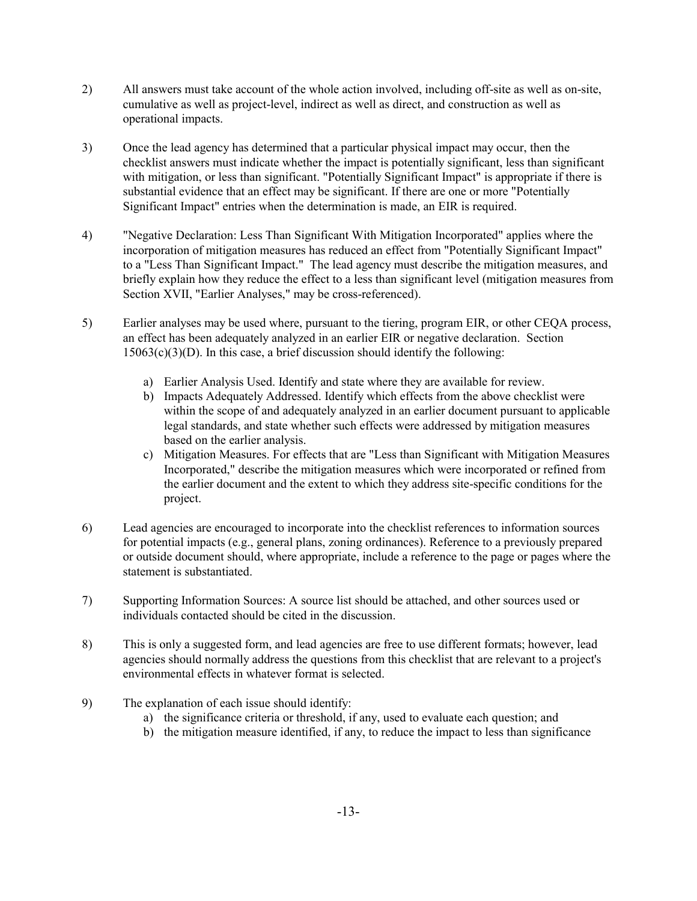- 2) All answers must take account of the whole action involved, including off-site as well as on-site, cumulative as well as project-level, indirect as well as direct, and construction as well as operational impacts.
- 3) Once the lead agency has determined that a particular physical impact may occur, then the checklist answers must indicate whether the impact is potentially significant, less than significant with mitigation, or less than significant. "Potentially Significant Impact" is appropriate if there is substantial evidence that an effect may be significant. If there are one or more "Potentially Significant Impact" entries when the determination is made, an EIR is required.
- 4) "Negative Declaration: Less Than Significant With Mitigation Incorporated" applies where the incorporation of mitigation measures has reduced an effect from "Potentially Significant Impact" to a "Less Than Significant Impact." The lead agency must describe the mitigation measures, and briefly explain how they reduce the effect to a less than significant level (mitigation measures from Section XVII, "Earlier Analyses," may be cross-referenced).
- 5) Earlier analyses may be used where, pursuant to the tiering, program EIR, or other CEQA process, an effect has been adequately analyzed in an earlier EIR or negative declaration. Section  $15063(c)(3)(D)$ . In this case, a brief discussion should identify the following:
	- a) Earlier Analysis Used. Identify and state where they are available for review.
	- b) Impacts Adequately Addressed. Identify which effects from the above checklist were within the scope of and adequately analyzed in an earlier document pursuant to applicable legal standards, and state whether such effects were addressed by mitigation measures based on the earlier analysis.
	- c) Mitigation Measures. For effects that are "Less than Significant with Mitigation Measures Incorporated," describe the mitigation measures which were incorporated or refined from the earlier document and the extent to which they address site-specific conditions for the project.
- 6) Lead agencies are encouraged to incorporate into the checklist references to information sources for potential impacts (e.g., general plans, zoning ordinances). Reference to a previously prepared or outside document should, where appropriate, include a reference to the page or pages where the statement is substantiated.
- 7) Supporting Information Sources: A source list should be attached, and other sources used or individuals contacted should be cited in the discussion.
- 8) This is only a suggested form, and lead agencies are free to use different formats; however, lead agencies should normally address the questions from this checklist that are relevant to a project's environmental effects in whatever format is selected.
- 9) The explanation of each issue should identify:
	- a) the significance criteria or threshold, if any, used to evaluate each question; and
	- b) the mitigation measure identified, if any, to reduce the impact to less than significance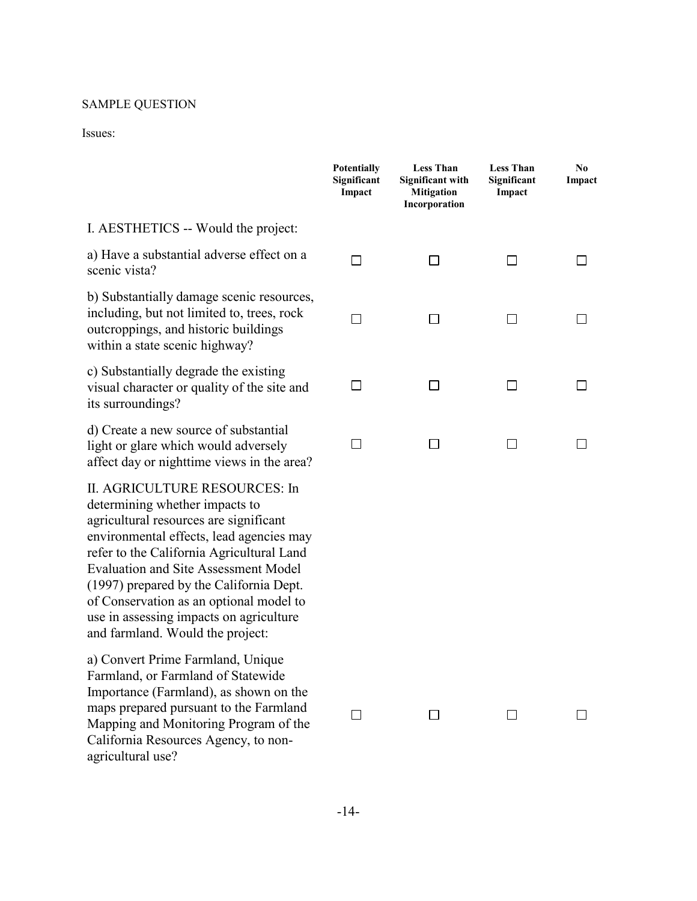# SAMPLE QUESTION

agricultural use?

Issues:

|                                                                                                                                                                                                                                                                                                                                                                                                                        | Potentially<br>Significant<br>Impact | <b>Less Than</b><br>Significant with<br><b>Mitigation</b><br>Incorporation | <b>Less Than</b><br>Significant<br>Impact | No<br>Impact |
|------------------------------------------------------------------------------------------------------------------------------------------------------------------------------------------------------------------------------------------------------------------------------------------------------------------------------------------------------------------------------------------------------------------------|--------------------------------------|----------------------------------------------------------------------------|-------------------------------------------|--------------|
| I. AESTHETICS -- Would the project:                                                                                                                                                                                                                                                                                                                                                                                    |                                      |                                                                            |                                           |              |
| a) Have a substantial adverse effect on a<br>scenic vista?                                                                                                                                                                                                                                                                                                                                                             | $\Box$                               | П                                                                          | □                                         |              |
| b) Substantially damage scenic resources,<br>including, but not limited to, trees, rock<br>outcroppings, and historic buildings<br>within a state scenic highway?                                                                                                                                                                                                                                                      | $\Box$                               | $\Box$                                                                     | $\Box$                                    |              |
| c) Substantially degrade the existing<br>visual character or quality of the site and<br>its surroundings?                                                                                                                                                                                                                                                                                                              | $\Box$                               | $\Box$                                                                     | $\Box$                                    | $\Box$       |
| d) Create a new source of substantial<br>light or glare which would adversely<br>affect day or nighttime views in the area?                                                                                                                                                                                                                                                                                            | П                                    | $\blacksquare$                                                             | П                                         |              |
| II. AGRICULTURE RESOURCES: In<br>determining whether impacts to<br>agricultural resources are significant<br>environmental effects, lead agencies may<br>refer to the California Agricultural Land<br><b>Evaluation and Site Assessment Model</b><br>(1997) prepared by the California Dept.<br>of Conservation as an optional model to<br>use in assessing impacts on agriculture<br>and farmland. Would the project: |                                      |                                                                            |                                           |              |
| a) Convert Prime Farmland, Unique<br>Farmland, or Farmland of Statewide<br>Importance (Farmland), as shown on the<br>maps prepared pursuant to the Farmland<br>Mapping and Monitoring Program of the<br>California Resources Agency, to non-                                                                                                                                                                           | $\Box$                               | П                                                                          | П                                         |              |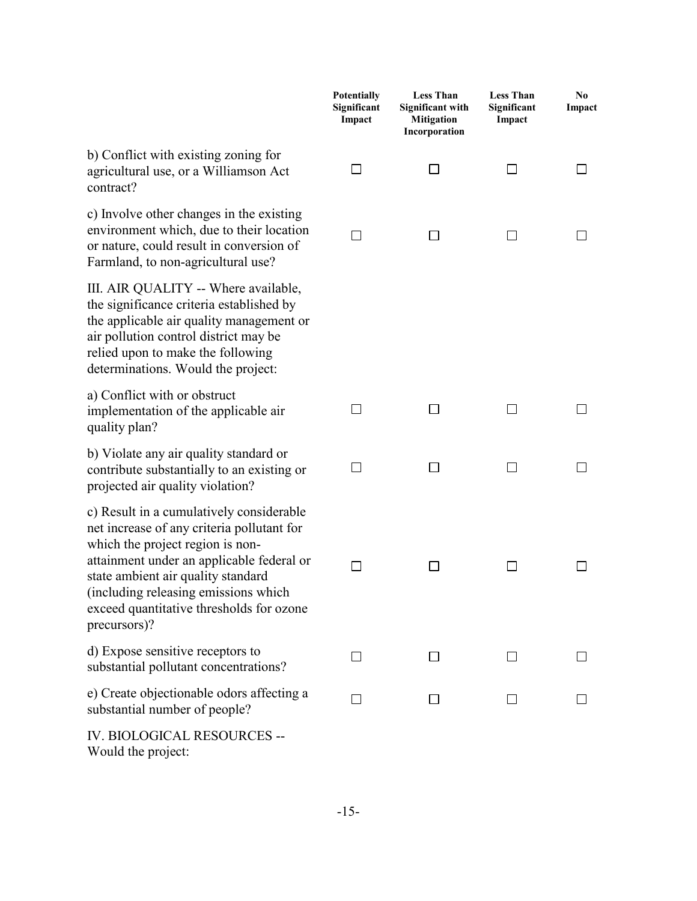|                                                                                                                                                                                                                                                                                                                   | <b>Potentially</b><br>Significant<br>Impact | <b>Less Than</b><br><b>Significant with</b><br><b>Mitigation</b><br>Incorporation | <b>Less Than</b><br>Significant<br>Impact | N <sub>0</sub><br>Impact |
|-------------------------------------------------------------------------------------------------------------------------------------------------------------------------------------------------------------------------------------------------------------------------------------------------------------------|---------------------------------------------|-----------------------------------------------------------------------------------|-------------------------------------------|--------------------------|
| b) Conflict with existing zoning for<br>agricultural use, or a Williamson Act<br>contract?                                                                                                                                                                                                                        | П                                           |                                                                                   | ΙI                                        |                          |
| c) Involve other changes in the existing<br>environment which, due to their location<br>or nature, could result in conversion of<br>Farmland, to non-agricultural use?                                                                                                                                            | □                                           | $\mathsf{I}$                                                                      | $\mathsf{L}$                              |                          |
| III. AIR QUALITY -- Where available,<br>the significance criteria established by<br>the applicable air quality management or<br>air pollution control district may be<br>relied upon to make the following<br>determinations. Would the project:                                                                  |                                             |                                                                                   |                                           |                          |
| a) Conflict with or obstruct<br>implementation of the applicable air<br>quality plan?                                                                                                                                                                                                                             | $\Box$                                      | $\mathbf{I}$                                                                      | ΙI                                        |                          |
| b) Violate any air quality standard or<br>contribute substantially to an existing or<br>projected air quality violation?                                                                                                                                                                                          | □                                           | $\mathbf{I}$                                                                      | $\mathsf{L}$                              | $\Box$                   |
| c) Result in a cumulatively considerable<br>net increase of any criteria pollutant for<br>which the project region is non-<br>attainment under an applicable federal or<br>state ambient air quality standard<br>(including releasing emissions which<br>exceed quantitative thresholds for ozone<br>precursors)? | $\Box$                                      |                                                                                   |                                           |                          |
| d) Expose sensitive receptors to<br>substantial pollutant concentrations?                                                                                                                                                                                                                                         |                                             |                                                                                   |                                           |                          |
| e) Create objectionable odors affecting a<br>substantial number of people?                                                                                                                                                                                                                                        | $\mathsf{L}$                                |                                                                                   |                                           |                          |
| IV. BIOLOGICAL RESOURCES --<br>Would the project:                                                                                                                                                                                                                                                                 |                                             |                                                                                   |                                           |                          |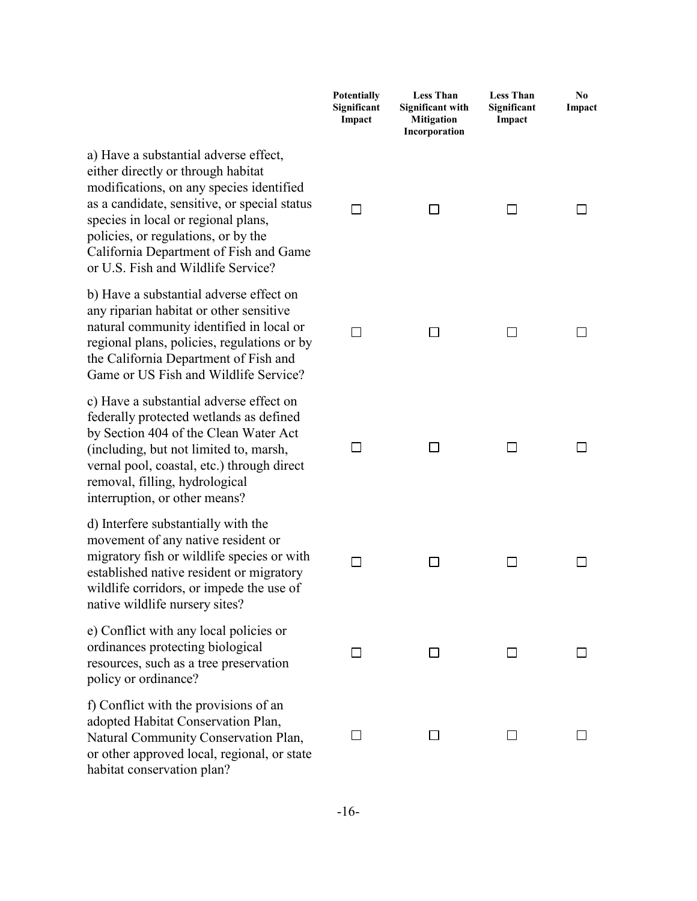|                                                                                                                                                                                                                                                                                                                                       | <b>Potentially</b><br>Significant<br>Impact | <b>Less Than</b><br>Significant with<br><b>Mitigation</b><br>Incorporation | <b>Less Than</b><br>Significant<br>Impact | N <sub>0</sub><br>Impact |
|---------------------------------------------------------------------------------------------------------------------------------------------------------------------------------------------------------------------------------------------------------------------------------------------------------------------------------------|---------------------------------------------|----------------------------------------------------------------------------|-------------------------------------------|--------------------------|
| a) Have a substantial adverse effect,<br>either directly or through habitat<br>modifications, on any species identified<br>as a candidate, sensitive, or special status<br>species in local or regional plans,<br>policies, or regulations, or by the<br>California Department of Fish and Game<br>or U.S. Fish and Wildlife Service? | $\Box$                                      |                                                                            |                                           |                          |
| b) Have a substantial adverse effect on<br>any riparian habitat or other sensitive<br>natural community identified in local or<br>regional plans, policies, regulations or by<br>the California Department of Fish and<br>Game or US Fish and Wildlife Service?                                                                       | ┓                                           |                                                                            |                                           |                          |
| c) Have a substantial adverse effect on<br>federally protected wetlands as defined<br>by Section 404 of the Clean Water Act<br>(including, but not limited to, marsh,<br>vernal pool, coastal, etc.) through direct<br>removal, filling, hydrological<br>interruption, or other means?                                                | $\sim$                                      |                                                                            |                                           |                          |
| d) Interfere substantially with the<br>movement of any native resident or<br>migratory fish or wildlife species or with<br>established native resident or migratory<br>wildlife corridors, or impede the use of<br>native wildlife nursery sites?                                                                                     | $\Box$                                      | $\mathsf{I}$                                                               | $\Box$                                    |                          |
| e) Conflict with any local policies or<br>ordinances protecting biological<br>resources, such as a tree preservation<br>policy or ordinance?                                                                                                                                                                                          |                                             |                                                                            |                                           |                          |
| f) Conflict with the provisions of an<br>adopted Habitat Conservation Plan,<br>Natural Community Conservation Plan,<br>or other approved local, regional, or state<br>habitat conservation plan?                                                                                                                                      |                                             |                                                                            |                                           |                          |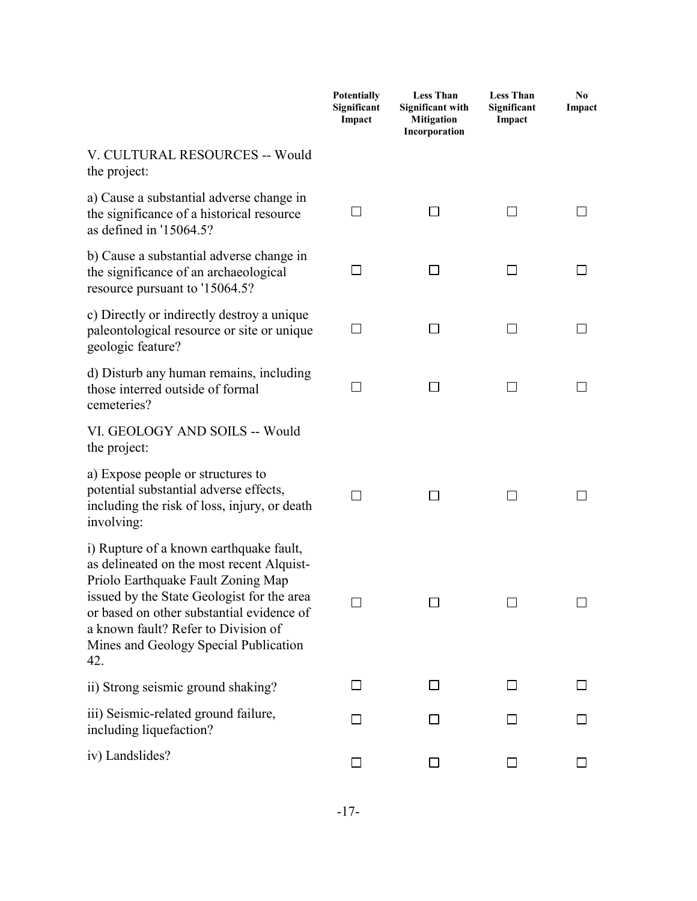|                                                                                                                                                                                                                                                                                                              | <b>Potentially</b><br>Significant<br>Impact | <b>Less Than</b><br><b>Significant with</b><br><b>Mitigation</b><br>Incorporation | <b>Less Than</b><br>Significant<br>Impact | N <sub>0</sub><br>Impact |
|--------------------------------------------------------------------------------------------------------------------------------------------------------------------------------------------------------------------------------------------------------------------------------------------------------------|---------------------------------------------|-----------------------------------------------------------------------------------|-------------------------------------------|--------------------------|
| V. CULTURAL RESOURCES -- Would<br>the project:                                                                                                                                                                                                                                                               |                                             |                                                                                   |                                           |                          |
| a) Cause a substantial adverse change in<br>the significance of a historical resource<br>as defined in '15064.5?                                                                                                                                                                                             | $\Box$                                      |                                                                                   |                                           |                          |
| b) Cause a substantial adverse change in<br>the significance of an archaeological<br>resource pursuant to '15064.5?                                                                                                                                                                                          | $\Box$                                      | $\mathsf{I}$                                                                      | $\Box$                                    |                          |
| c) Directly or indirectly destroy a unique<br>paleontological resource or site or unique<br>geologic feature?                                                                                                                                                                                                | П                                           |                                                                                   |                                           |                          |
| d) Disturb any human remains, including<br>those interred outside of formal<br>cemeteries?                                                                                                                                                                                                                   | $\Box$                                      | l 1                                                                               | $\Box$                                    |                          |
| VI. GEOLOGY AND SOILS -- Would<br>the project:                                                                                                                                                                                                                                                               |                                             |                                                                                   |                                           |                          |
| a) Expose people or structures to<br>potential substantial adverse effects,<br>including the risk of loss, injury, or death<br>involving:                                                                                                                                                                    | $\blacksquare$                              | l 1                                                                               | ΙI                                        |                          |
| i) Rupture of a known earthquake fault,<br>as delineated on the most recent Alquist-<br>Priolo Earthquake Fault Zoning Map<br>issued by the State Geologist for the area<br>or based on other substantial evidence of<br>a known fault? Refer to Division of<br>Mines and Geology Special Publication<br>42. |                                             |                                                                                   |                                           |                          |
| ii) Strong seismic ground shaking?                                                                                                                                                                                                                                                                           | $\blacksquare$                              |                                                                                   |                                           |                          |
| iii) Seismic-related ground failure,<br>including liquefaction?                                                                                                                                                                                                                                              |                                             |                                                                                   |                                           |                          |
| iv) Landslides?                                                                                                                                                                                                                                                                                              | $\Box$                                      | l 1                                                                               | $\mathsf{L}$                              |                          |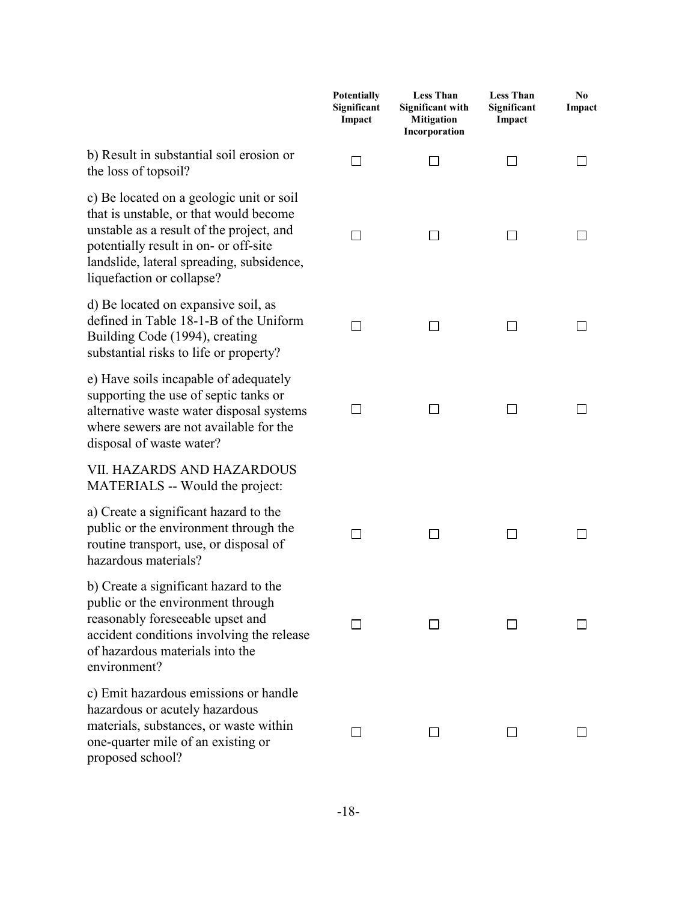|                                                                                                                                                                                                                                                   | <b>Potentially</b><br>Significant<br>Impact | <b>Less Than</b><br><b>Significant with</b><br><b>Mitigation</b><br>Incorporation | <b>Less Than</b><br>Significant<br>Impact | No<br>Impact |
|---------------------------------------------------------------------------------------------------------------------------------------------------------------------------------------------------------------------------------------------------|---------------------------------------------|-----------------------------------------------------------------------------------|-------------------------------------------|--------------|
| b) Result in substantial soil erosion or<br>the loss of topsoil?                                                                                                                                                                                  | □                                           | $\blacksquare$                                                                    | $\overline{\phantom{a}}$                  |              |
| c) Be located on a geologic unit or soil<br>that is unstable, or that would become<br>unstable as a result of the project, and<br>potentially result in on- or off-site<br>landslide, lateral spreading, subsidence,<br>liquefaction or collapse? | $\Box$                                      | $\blacksquare$                                                                    |                                           |              |
| d) Be located on expansive soil, as<br>defined in Table 18-1-B of the Uniform<br>Building Code (1994), creating<br>substantial risks to life or property?                                                                                         | П                                           |                                                                                   |                                           |              |
| e) Have soils incapable of adequately<br>supporting the use of septic tanks or<br>alternative waste water disposal systems<br>where sewers are not available for the<br>disposal of waste water?                                                  | $\Box$                                      |                                                                                   |                                           |              |
| VII. HAZARDS AND HAZARDOUS<br>MATERIALS -- Would the project:                                                                                                                                                                                     |                                             |                                                                                   |                                           |              |
| a) Create a significant hazard to the<br>public or the environment through the<br>routine transport, use, or disposal of<br>hazardous materials?                                                                                                  |                                             | $\blacksquare$                                                                    |                                           |              |
| b) Create a significant hazard to the<br>public or the environment through<br>reasonably foreseeable upset and<br>accident conditions involving the release<br>of hazardous materials into the<br>environment?                                    |                                             |                                                                                   |                                           |              |
| c) Emit hazardous emissions or handle<br>hazardous or acutely hazardous<br>materials, substances, or waste within<br>one-quarter mile of an existing or<br>proposed school?                                                                       |                                             |                                                                                   |                                           |              |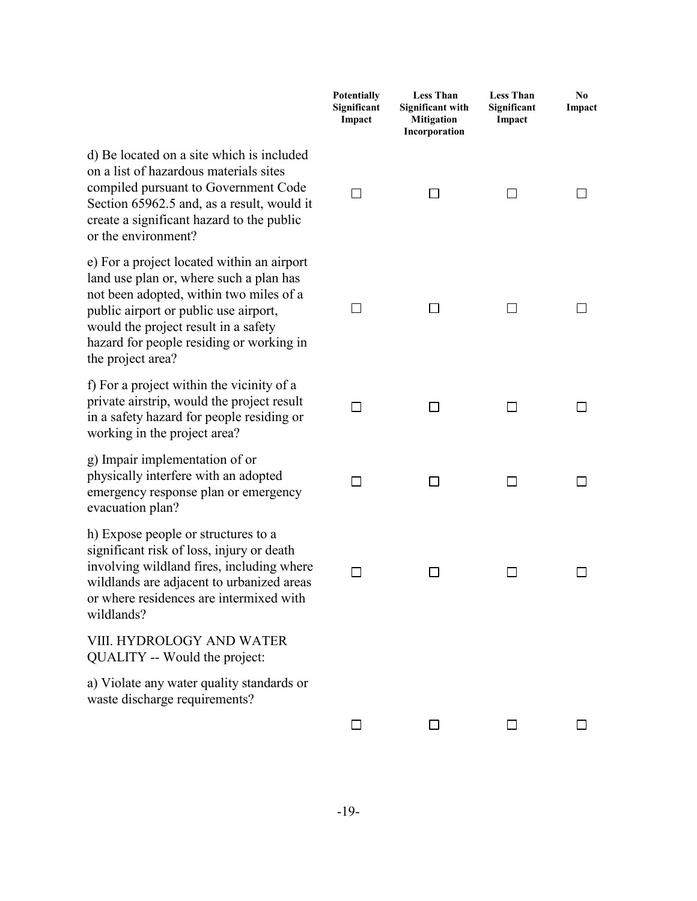|                                                                                                                                                                                                                                                                                    | Potentially<br>Significant<br>Impact | <b>Less Than</b><br><b>Significant with</b><br><b>Mitigation</b><br>Incorporation | <b>Less Than</b><br>Significant<br>Impact | No<br>Impact |
|------------------------------------------------------------------------------------------------------------------------------------------------------------------------------------------------------------------------------------------------------------------------------------|--------------------------------------|-----------------------------------------------------------------------------------|-------------------------------------------|--------------|
| d) Be located on a site which is included<br>on a list of hazardous materials sites<br>compiled pursuant to Government Code<br>Section 65962.5 and, as a result, would it<br>create a significant hazard to the public<br>or the environment?                                      | $\Box$                               | l 1                                                                               |                                           |              |
| e) For a project located within an airport<br>land use plan or, where such a plan has<br>not been adopted, within two miles of a<br>public airport or public use airport,<br>would the project result in a safety<br>hazard for people residing or working in<br>the project area? | $\overline{\phantom{a}}$             |                                                                                   |                                           |              |
| f) For a project within the vicinity of a<br>private airstrip, would the project result<br>in a safety hazard for people residing or<br>working in the project area?                                                                                                               | П                                    | П                                                                                 | $\Box$                                    |              |
| g) Impair implementation of or<br>physically interfere with an adopted<br>emergency response plan or emergency<br>evacuation plan?                                                                                                                                                 | H                                    | l 1                                                                               |                                           |              |
| h) Expose people or structures to a<br>significant risk of loss, injury or death<br>involving wildland fires, including where<br>wildlands are adjacent to urbanized areas<br>or where residences are intermixed with<br>wildlands?                                                | $\Box$                               | $\mathsf{I}$                                                                      |                                           |              |
| VIII. HYDROLOGY AND WATER<br>QUALITY -- Would the project:                                                                                                                                                                                                                         |                                      |                                                                                   |                                           |              |
| a) Violate any water quality standards or<br>waste discharge requirements?                                                                                                                                                                                                         |                                      |                                                                                   |                                           |              |
|                                                                                                                                                                                                                                                                                    |                                      |                                                                                   |                                           |              |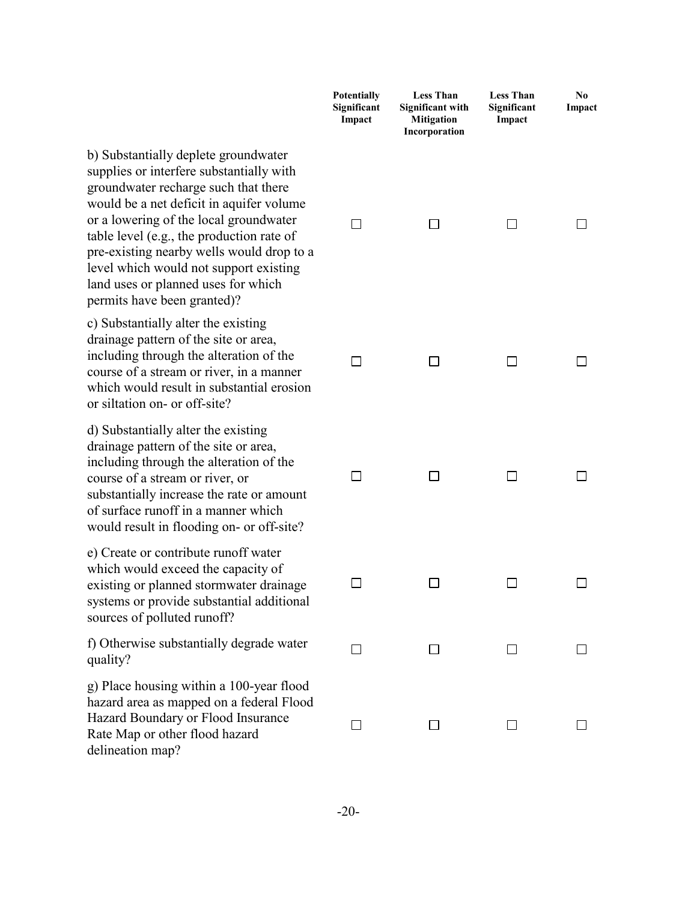|                                                                                                                                                                                                                                                                                                                                                                                                                          | <b>Potentially</b><br>Significant<br>Impact | <b>Less Than</b><br><b>Significant with</b><br><b>Mitigation</b><br>Incorporation | <b>Less Than</b><br>Significant<br>Impact | No<br>Impact |
|--------------------------------------------------------------------------------------------------------------------------------------------------------------------------------------------------------------------------------------------------------------------------------------------------------------------------------------------------------------------------------------------------------------------------|---------------------------------------------|-----------------------------------------------------------------------------------|-------------------------------------------|--------------|
| b) Substantially deplete groundwater<br>supplies or interfere substantially with<br>groundwater recharge such that there<br>would be a net deficit in aquifer volume<br>or a lowering of the local groundwater<br>table level (e.g., the production rate of<br>pre-existing nearby wells would drop to a<br>level which would not support existing<br>land uses or planned uses for which<br>permits have been granted)? | $\Box$                                      | $\mathsf{L}$                                                                      | $\Box$                                    |              |
| c) Substantially alter the existing<br>drainage pattern of the site or area,<br>including through the alteration of the<br>course of a stream or river, in a manner<br>which would result in substantial erosion<br>or siltation on- or off-site?                                                                                                                                                                        | $\sim$                                      |                                                                                   |                                           |              |
| d) Substantially alter the existing<br>drainage pattern of the site or area,<br>including through the alteration of the<br>course of a stream or river, or<br>substantially increase the rate or amount<br>of surface runoff in a manner which<br>would result in flooding on- or off-site?                                                                                                                              | П                                           | $\mathsf{L}$                                                                      |                                           |              |
| e) Create or contribute runoff water<br>which would exceed the capacity of<br>existing or planned stormwater drainage<br>systems or provide substantial additional<br>sources of polluted runoff?                                                                                                                                                                                                                        | ×                                           |                                                                                   |                                           |              |
| f) Otherwise substantially degrade water<br>quality?                                                                                                                                                                                                                                                                                                                                                                     | $\Box$                                      | $\perp$                                                                           |                                           |              |
| g) Place housing within a 100-year flood<br>hazard area as mapped on a federal Flood<br>Hazard Boundary or Flood Insurance<br>Rate Map or other flood hazard<br>delineation map?                                                                                                                                                                                                                                         | $\sim$                                      |                                                                                   |                                           |              |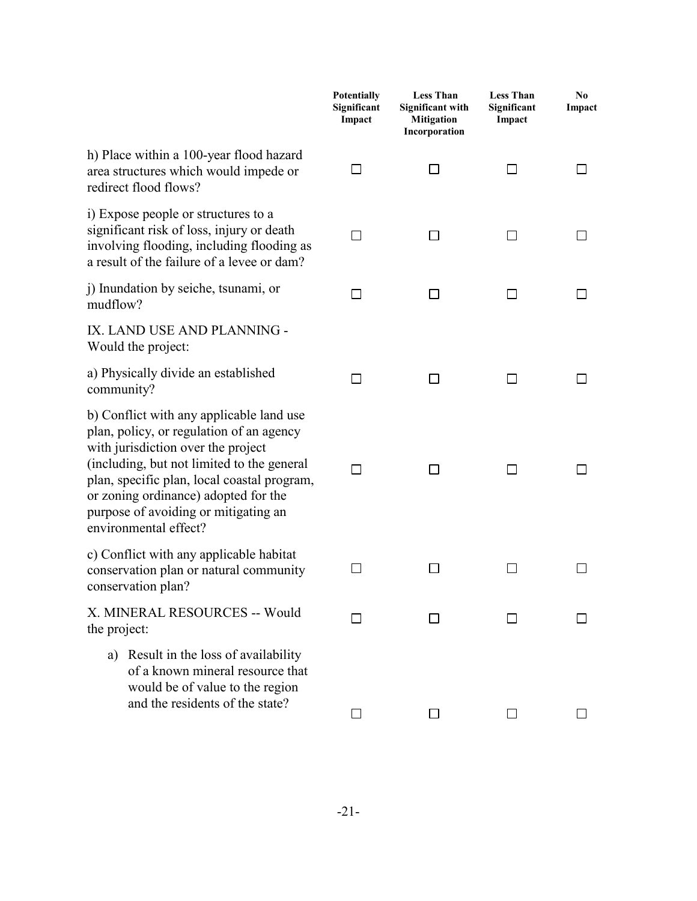|                                                                                                                                                                                                                                                                                                                                  | Potentially<br>Significant<br>Impact | <b>Less Than</b><br><b>Significant with</b><br><b>Mitigation</b><br>Incorporation | <b>Less Than</b><br>Significant<br>Impact | N <sub>0</sub><br>Impact |
|----------------------------------------------------------------------------------------------------------------------------------------------------------------------------------------------------------------------------------------------------------------------------------------------------------------------------------|--------------------------------------|-----------------------------------------------------------------------------------|-------------------------------------------|--------------------------|
| h) Place within a 100-year flood hazard<br>area structures which would impede or<br>redirect flood flows?                                                                                                                                                                                                                        | $\Box$                               |                                                                                   |                                           |                          |
| i) Expose people or structures to a<br>significant risk of loss, injury or death<br>involving flooding, including flooding as<br>a result of the failure of a levee or dam?                                                                                                                                                      | □                                    | $\Box$                                                                            | ΙI                                        |                          |
| j) Inundation by seiche, tsunami, or<br>mudflow?                                                                                                                                                                                                                                                                                 | $\overline{\phantom{a}}$             |                                                                                   |                                           |                          |
| IX. LAND USE AND PLANNING -<br>Would the project:                                                                                                                                                                                                                                                                                |                                      |                                                                                   |                                           |                          |
| a) Physically divide an established<br>community?                                                                                                                                                                                                                                                                                | П                                    | l 1                                                                               |                                           |                          |
| b) Conflict with any applicable land use<br>plan, policy, or regulation of an agency<br>with jurisdiction over the project<br>(including, but not limited to the general<br>plan, specific plan, local coastal program,<br>or zoning ordinance) adopted for the<br>purpose of avoiding or mitigating an<br>environmental effect? | $\Box$                               | l 1                                                                               | ΙI                                        |                          |
| c) Conflict with any applicable habitat<br>conservation plan or natural community<br>conservation plan?                                                                                                                                                                                                                          | $\mathbf{L}$                         |                                                                                   |                                           |                          |
| X. MINERAL RESOURCES -- Would<br>the project:                                                                                                                                                                                                                                                                                    |                                      |                                                                                   |                                           |                          |
| Result in the loss of availability<br>a)<br>of a known mineral resource that<br>would be of value to the region<br>and the residents of the state?                                                                                                                                                                               |                                      |                                                                                   |                                           |                          |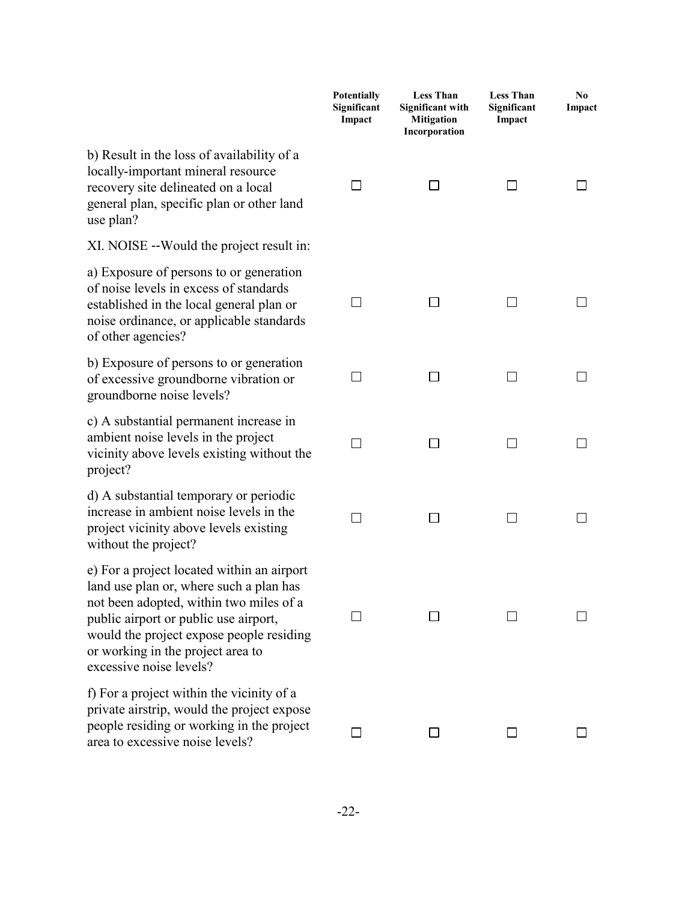|                                                                                                                                                                                                                                                                                       | Potentially<br>Significant<br>Impact | <b>Less Than</b><br><b>Significant with</b><br><b>Mitigation</b><br>Incorporation | <b>Less Than</b><br>Significant<br>Impact | $\bf No$<br>Impact |
|---------------------------------------------------------------------------------------------------------------------------------------------------------------------------------------------------------------------------------------------------------------------------------------|--------------------------------------|-----------------------------------------------------------------------------------|-------------------------------------------|--------------------|
| b) Result in the loss of availability of a<br>locally-important mineral resource<br>recovery site delineated on a local<br>general plan, specific plan or other land<br>use plan?                                                                                                     | $\overline{\phantom{a}}$             |                                                                                   |                                           |                    |
| XI. NOISE -- Would the project result in:                                                                                                                                                                                                                                             |                                      |                                                                                   |                                           |                    |
| a) Exposure of persons to or generation<br>of noise levels in excess of standards<br>established in the local general plan or<br>noise ordinance, or applicable standards<br>of other agencies?                                                                                       | $\Box$                               |                                                                                   |                                           |                    |
| b) Exposure of persons to or generation<br>of excessive groundborne vibration or<br>groundborne noise levels?                                                                                                                                                                         | $\blacksquare$                       |                                                                                   |                                           |                    |
| c) A substantial permanent increase in<br>ambient noise levels in the project<br>vicinity above levels existing without the<br>project?                                                                                                                                               | ┐                                    |                                                                                   |                                           |                    |
| d) A substantial temporary or periodic<br>increase in ambient noise levels in the<br>project vicinity above levels existing<br>without the project?                                                                                                                                   | ┓                                    |                                                                                   |                                           |                    |
| e) For a project located within an airport<br>land use plan or, where such a plan has<br>not been adopted, within two miles of a<br>public airport or public use airport,<br>would the project expose people residing<br>or working in the project area to<br>excessive noise levels? |                                      |                                                                                   |                                           |                    |
| f) For a project within the vicinity of a<br>private airstrip, would the project expose<br>people residing or working in the project<br>area to excessive noise levels?                                                                                                               | $\blacksquare$                       |                                                                                   |                                           |                    |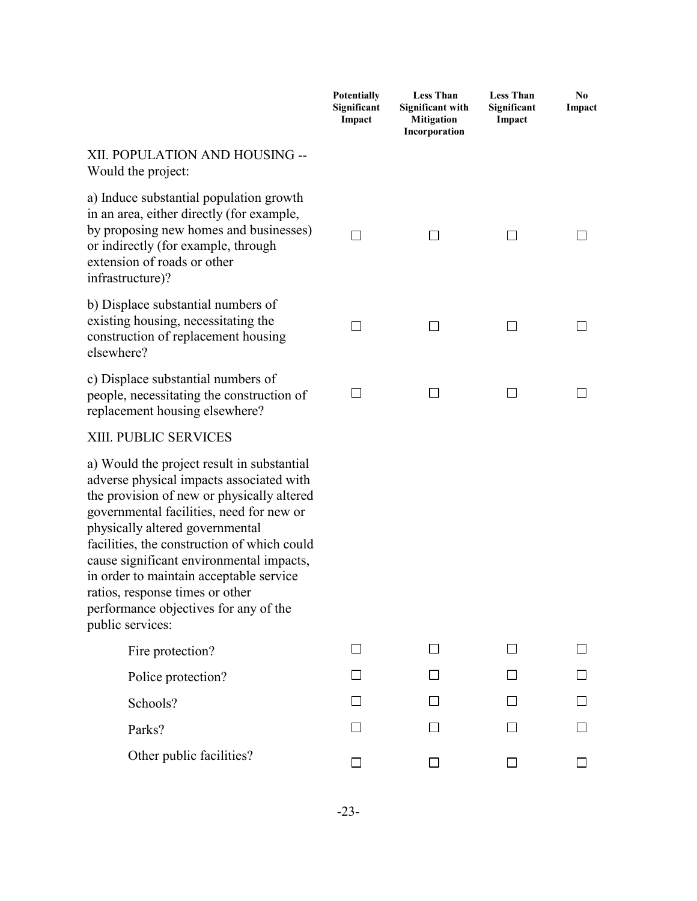|                                                                                                                                                                                                                                                                                                                                                                                                                                                           | <b>Potentially</b><br>Significant<br>Impact | <b>Less Than</b><br><b>Significant with</b><br><b>Mitigation</b><br>Incorporation | <b>Less Than</b><br>Significant<br>Impact | No<br>Impact |
|-----------------------------------------------------------------------------------------------------------------------------------------------------------------------------------------------------------------------------------------------------------------------------------------------------------------------------------------------------------------------------------------------------------------------------------------------------------|---------------------------------------------|-----------------------------------------------------------------------------------|-------------------------------------------|--------------|
| XII. POPULATION AND HOUSING --<br>Would the project:                                                                                                                                                                                                                                                                                                                                                                                                      |                                             |                                                                                   |                                           |              |
| a) Induce substantial population growth<br>in an area, either directly (for example,<br>by proposing new homes and businesses)<br>or indirectly (for example, through<br>extension of roads or other<br>infrastructure)?                                                                                                                                                                                                                                  | П                                           | l 1                                                                               |                                           |              |
| b) Displace substantial numbers of<br>existing housing, necessitating the<br>construction of replacement housing<br>elsewhere?                                                                                                                                                                                                                                                                                                                            | П                                           |                                                                                   |                                           |              |
| c) Displace substantial numbers of<br>people, necessitating the construction of<br>replacement housing elsewhere?                                                                                                                                                                                                                                                                                                                                         | $\sim$                                      | l 1                                                                               |                                           |              |
| XIII. PUBLIC SERVICES                                                                                                                                                                                                                                                                                                                                                                                                                                     |                                             |                                                                                   |                                           |              |
| a) Would the project result in substantial<br>adverse physical impacts associated with<br>the provision of new or physically altered<br>governmental facilities, need for new or<br>physically altered governmental<br>facilities, the construction of which could<br>cause significant environmental impacts,<br>in order to maintain acceptable service<br>ratios, response times or other<br>performance objectives for any of the<br>public services: |                                             |                                                                                   |                                           |              |
| Fire protection?                                                                                                                                                                                                                                                                                                                                                                                                                                          |                                             |                                                                                   |                                           |              |
| Police protection?                                                                                                                                                                                                                                                                                                                                                                                                                                        |                                             |                                                                                   |                                           |              |
| Schools?                                                                                                                                                                                                                                                                                                                                                                                                                                                  |                                             |                                                                                   |                                           |              |
| Parks?                                                                                                                                                                                                                                                                                                                                                                                                                                                    |                                             |                                                                                   |                                           |              |
| Other public facilities?                                                                                                                                                                                                                                                                                                                                                                                                                                  | $\mathsf{L}$                                | $\mathsf{L}$                                                                      | ΙI                                        |              |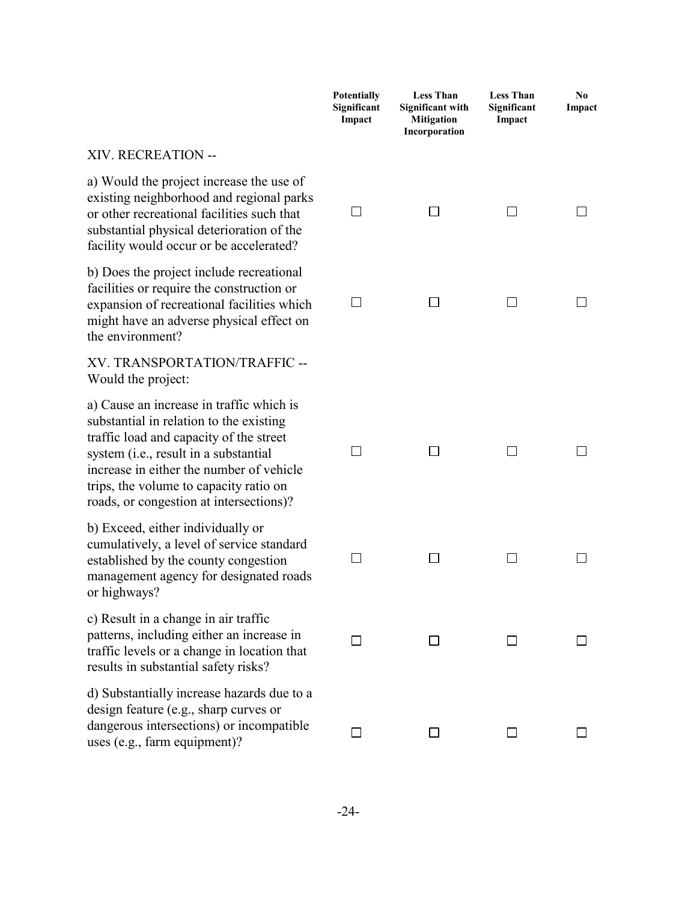|                                                                                                                                                                                                                                                                                                          | Potentially<br>Significant<br>Impact | <b>Less Than</b><br><b>Significant with</b><br><b>Mitigation</b><br>Incorporation | <b>Less Than</b><br>Significant<br>Impact | No<br>Impact |
|----------------------------------------------------------------------------------------------------------------------------------------------------------------------------------------------------------------------------------------------------------------------------------------------------------|--------------------------------------|-----------------------------------------------------------------------------------|-------------------------------------------|--------------|
| XIV. RECREATION --                                                                                                                                                                                                                                                                                       |                                      |                                                                                   |                                           |              |
| a) Would the project increase the use of<br>existing neighborhood and regional parks<br>or other recreational facilities such that<br>substantial physical deterioration of the<br>facility would occur or be accelerated?                                                                               | П                                    | $\sim$                                                                            | ΙI                                        |              |
| b) Does the project include recreational<br>facilities or require the construction or<br>expansion of recreational facilities which<br>might have an adverse physical effect on<br>the environment?                                                                                                      | $\Box$                               |                                                                                   | $\Box$                                    |              |
| XV. TRANSPORTATION/TRAFFIC --<br>Would the project:                                                                                                                                                                                                                                                      |                                      |                                                                                   |                                           |              |
| a) Cause an increase in traffic which is<br>substantial in relation to the existing<br>traffic load and capacity of the street<br>system (i.e., result in a substantial<br>increase in either the number of vehicle<br>trips, the volume to capacity ratio on<br>roads, or congestion at intersections)? | Ш                                    |                                                                                   | ΙI                                        |              |
| b) Exceed, either individually or<br>cumulatively, a level of service standard<br>established by the county congestion<br>management agency for designated roads<br>or highways?                                                                                                                         | $\Box$                               |                                                                                   | $\Box$                                    |              |
| c) Result in a change in air traffic<br>patterns, including either an increase in<br>traffic levels or a change in location that<br>results in substantial safety risks?                                                                                                                                 | $\Box$                               |                                                                                   |                                           |              |
| d) Substantially increase hazards due to a<br>design feature (e.g., sharp curves or<br>dangerous intersections) or incompatible<br>uses (e.g., farm equipment)?                                                                                                                                          | M.                                   |                                                                                   |                                           |              |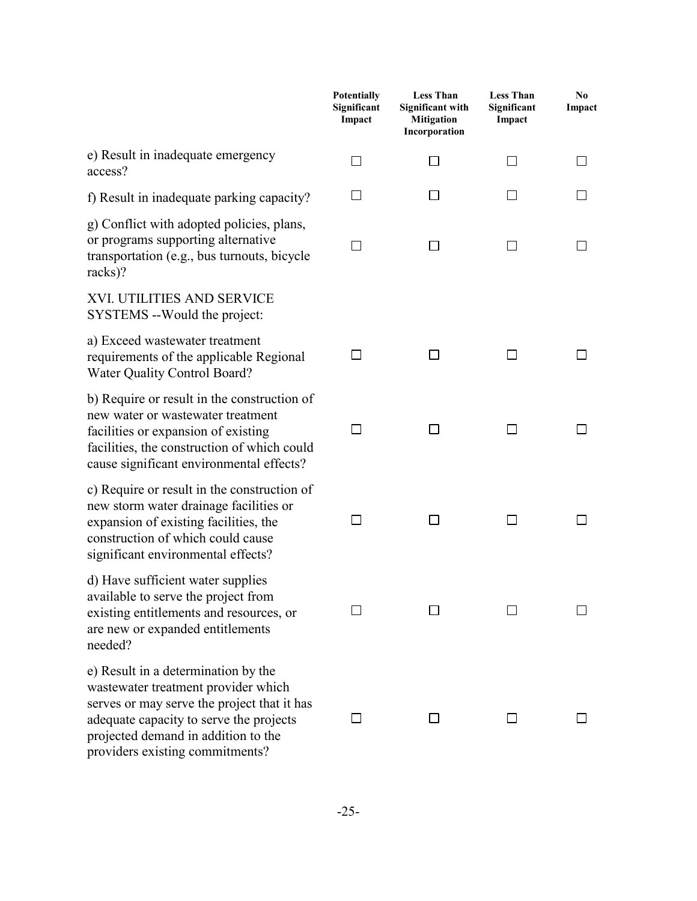|                                                                                                                                                                                                                    | Potentially<br>Significant<br>Impact | <b>Less Than</b><br><b>Significant with</b><br><b>Mitigation</b><br>Incorporation | <b>Less Than</b><br>Significant<br>Impact | $\bf No$<br>Impact |
|--------------------------------------------------------------------------------------------------------------------------------------------------------------------------------------------------------------------|--------------------------------------|-----------------------------------------------------------------------------------|-------------------------------------------|--------------------|
| e) Result in inadequate emergency<br>access?                                                                                                                                                                       | $\Box$                               | $\mathsf{L}$                                                                      | $\Box$                                    |                    |
| f) Result in inadequate parking capacity?                                                                                                                                                                          | $\Box$                               |                                                                                   |                                           |                    |
| g) Conflict with adopted policies, plans,<br>or programs supporting alternative<br>transportation (e.g., bus turnouts, bicycle<br>racks)?                                                                          | □                                    |                                                                                   |                                           |                    |
| XVI. UTILITIES AND SERVICE<br>SYSTEMS -- Would the project:                                                                                                                                                        |                                      |                                                                                   |                                           |                    |
| a) Exceed wastewater treatment<br>requirements of the applicable Regional<br><b>Water Quality Control Board?</b>                                                                                                   | M.                                   |                                                                                   |                                           |                    |
| b) Require or result in the construction of<br>new water or wastewater treatment<br>facilities or expansion of existing<br>facilities, the construction of which could<br>cause significant environmental effects? | $\mathcal{L}_{\mathcal{A}}$          |                                                                                   |                                           |                    |
| c) Require or result in the construction of<br>new storm water drainage facilities or<br>expansion of existing facilities, the<br>construction of which could cause<br>significant environmental effects?          | ×.                                   |                                                                                   |                                           |                    |
| d) Have sufficient water supplies<br>available to serve the project from<br>existing entitlements and resources, or<br>are new or expanded entitlements<br>needed?                                                 |                                      |                                                                                   |                                           |                    |
| e) Result in a determination by the<br>wastewater treatment provider which<br>serves or may serve the project that it has<br>adequate capacity to serve the projects<br>projected demand in addition to the        | n.                                   |                                                                                   |                                           |                    |

providers existing commitments?